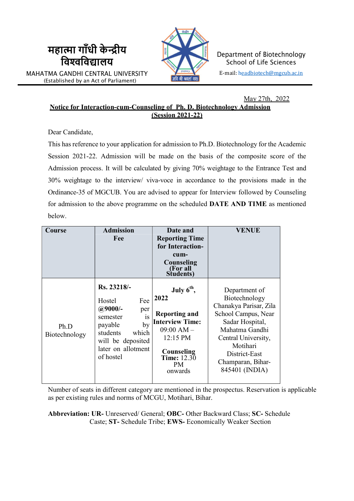

Department of Biotechnology School of Life Sciences E-mail: headbiotech@mgcub.ac.in

May 27th, 2022 Notice for Interaction-cum-Counseling of Ph. D. Biotechnology Admission ( Session 2021-22)

Dear Candidate,

महात्मा गाँधी केन्द्रीय विद्यालय

MAHATMA GANDHI CENTRAL UNIVERSITY (Established by an Act of Parliament)

> This has reference to your application for admission to Ph.D. Biotechnology for the Academic Session 2021-22. Admission will be made on the basis of the composite score of the Admission process. It will be calculated by giving 70% weightage to the Entrance Test and 30% weightage to the interview/ viva-voce in accordance to the provisions made in the Ordinance-35 of MGCUB. You are advised to appear for Interview followed by Counseling for admission to the above programme on the scheduled DATE AND TIME as mentioned below.

| Course                | <b>Admission</b><br>Fee                                                                                                                                          | Date and<br><b>Reporting Time</b><br>for Interaction-<br>cum-<br>Counseling<br>(For all<br>Students)                                                      | <b>VENUE</b>                                                                                                                                                                                                    |
|-----------------------|------------------------------------------------------------------------------------------------------------------------------------------------------------------|-----------------------------------------------------------------------------------------------------------------------------------------------------------|-----------------------------------------------------------------------------------------------------------------------------------------------------------------------------------------------------------------|
| Ph.D<br>Biotechnology | Rs. 23218/-<br>Fee<br>Hostel<br>$@9000/-$<br>per<br>is<br>semester<br>payable<br>by<br>students<br>which<br>will be deposited<br>later on allotment<br>of hostel | July $6th$ ,<br>2022<br><b>Reporting and</b><br><b>Interview Time:</b><br>$09:00$ AM $-$<br>12:15 PM<br>Counseling<br><b>Time:</b> 12.30<br>PM<br>onwards | Department of<br>Biotechnology<br>Chanakya Parisar, Zila<br>School Campus, Near<br>Sadar Hospital,<br>Mahatma Gandhi<br>Central University,<br>Motihari<br>District-East<br>Champaran, Bihar-<br>845401 (INDIA) |

Number of seats in different category are mentioned in the prospectus. Reservation is applicable as per existing rules and norms of MCGU, Motihari, Bihar.

Abbreviation: UR- Unreserved/ General; OBC- Other Backward Class; SC- Schedule Caste; ST- Schedule Tribe; EWS- Economically Weaker Section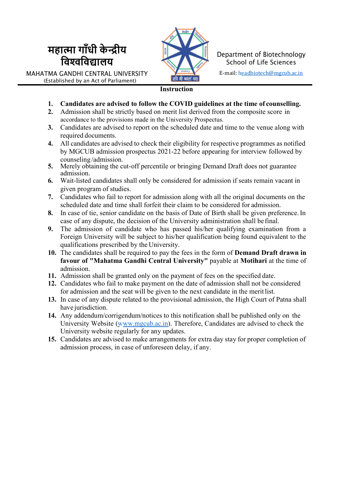



MAHATMA GANDHI CENTRAL UNIVERSITY (Established by an Act of Parliament)

#### **Chanakya Parisar, 21 and 22 and 23 and 24 and 24 and 24 and 24 and 24 and 24 and 24 and 24 and 24 and 24 and 24 and 24 and 24 and 24 and 24 and 25 and 26 and 26 and 26 and 26 and 26 and 26 and 26 and 26 and 26 and 26 and**

- 1. Candidates are advised to follow the COVID guidelines at the time of counselling.
- 2. Admission shall be strictly based on merit list derived from the composite score in accordance to the provisions made in the University Prospectus.
- 3. Candidates are advised to report on the scheduled date and time to the venue along with required documents.
- 4. All candidates are advised to check their eligibility for respective programmes as notified by MGCUB admission prospectus 2021-22 before appearing for interview followed by counseling /admission.
- 5. Merely obtaining the cut-off percentile or bringing Demand Draft does not guarantee admission.
- 6. Wait-listed candidates shall only be considered for admission if seats remain vacant in given program of studies.
- 7. Candidates who fail to report for admission along with all the original documents on the scheduled date and time shall forfeit their claim to be considered for admission.
- 8. In case of tie, senior candidate on the basis of Date of Birth shall be given preference. In case of any dispute, the decision of the University administration shall be final.
- 9. The admission of candidate who has passed his/her qualifying examination from a Foreign University will be subject to his/her qualification being found equivalent to the qualifications prescribed by the University.
- 10. The candidates shall be required to pay the fees in the form of Demand Draft drawn in favour of "Mahatma Gandhi Central University" payable at Motihari at the time of admission.
- 11. Admission shall be granted only on the payment of fees on the specified date.
- 12. Candidates who fail to make payment on the date of admission shall not be considered for admission and the seat will be given to the next candidate in the merit list.
- 13. In case of any dispute related to the provisional admission, the High Court of Patna shall have jurisdiction.
- 14. Any addendum/corrigendum/notices to this notification shall be published only on the University Website (www.mgcub.ac.in). Therefore, Candidates are advised to check the University website regularly for any updates.
- 15. Candidates are advised to make arrangements for extra day stay for proper completion of admission process, in case of unforeseen delay, if any.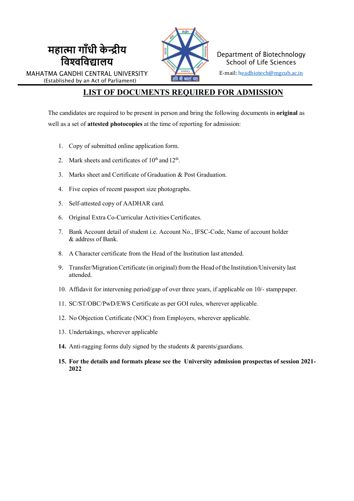

Department of Biotechnology School of Life Sciences E-mail: headbiotech@mgcub.ac.in

MAHATMA GANDHI CENTRAL UNIVERSITY (Established by an Act of Parliament)

महात्मा गाँधी केन्द्रीय विद्यालय

### LIST OF DOCUMENTS REQUIRED FOR ADMISSION

The candidates are required to be present in person and bring the following documents in original as well as a set of attested photocopies at the time of reporting for admission:

- 1. Copy of submitted online application form.
- 2. Mark sheets and certificates of  $10<sup>th</sup>$  and  $12<sup>th</sup>$ .
- 3. Marks sheet and Certificate of Graduation & Post Graduation.
- 4. Five copies of recent passport size photographs.
- 5. Self-attested copy of AADHAR card.
- 6. Original Extra Co-Curricular Activities Certificates.
- 7. Bank Account detail of student i.e. Account No., IFSC-Code, Name of account holder & address of Bank.
- 8. A Character certificate from the Head of the Institution last attended.
- 9. Transfer/Migration Certificate (in original) from the Head of the Institution/University last attended.
- 10. Affidavit for intervening period/gap of over three years, if applicable on 10/- stamp paper.
- 11. SC/ST/OBC/PwD/EWS Certificate as per GOI rules, wherever applicable.
- 12. No Objection Certificate (NOC) from Employers, wherever applicable.
- 13. Undertakings, wherever applicable
- 14. Anti-ragging forms duly signed by the students & parents/guardians.
- 15. For the details and formats please see the University admission prospectus of session 2021- 2022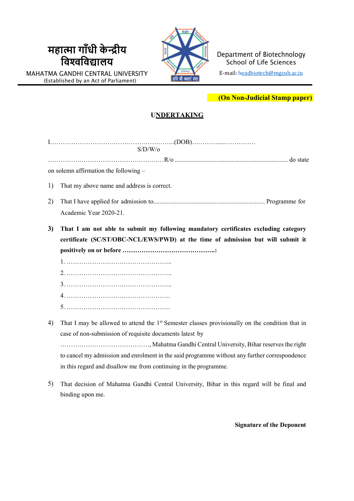# महात्मा गांधी केन्द्रीय **काली है।** विश्वविद्यालय $\blacksquare$  sch





Department of Biotechnology School of Life Sciences E-mail: headbiotech@mgcub.ac.in

(On Non-Judicial Stamp paper)

#### **UNDERTAKING**

| S/D/W/o |                                                                                                             |  |  |  |  |  |
|---------|-------------------------------------------------------------------------------------------------------------|--|--|--|--|--|
|         |                                                                                                             |  |  |  |  |  |
|         | on solemn affirmation the following -                                                                       |  |  |  |  |  |
| 1)      | That my above name and address is correct.                                                                  |  |  |  |  |  |
| 2)      |                                                                                                             |  |  |  |  |  |
|         | Academic Year 2020-21.                                                                                      |  |  |  |  |  |
| 3)      | That I am not able to submit my following mandatory certificates excluding category                         |  |  |  |  |  |
|         | certificate (SC/ST/OBC-NCL/EWS/PWD) at the time of admission but will submit it                             |  |  |  |  |  |
|         |                                                                                                             |  |  |  |  |  |
|         |                                                                                                             |  |  |  |  |  |
|         |                                                                                                             |  |  |  |  |  |
|         |                                                                                                             |  |  |  |  |  |
|         |                                                                                                             |  |  |  |  |  |
|         |                                                                                                             |  |  |  |  |  |
| 4)      | That I may be allowed to attend the 1 <sup>st</sup> Semester classes provisionally on the condition that in |  |  |  |  |  |
|         | case of non-submission of requisite documents latest by                                                     |  |  |  |  |  |
|         |                                                                                                             |  |  |  |  |  |
|         | to cancel my admission and enrolment in the said programme without any further correspondence               |  |  |  |  |  |

5) That decision of Mahatma Gandhi Central University, Bihar in this regard will be final and binding upon me.

in this regard and disallow me from continuing in the programme.

Signature of the Deponent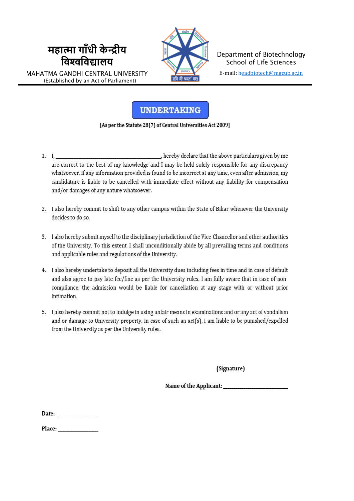## महात्मा गाँधी केन्द्रीय विश्वविद्यालय

MAHATMA GANDHI CENTRAL UNIVERSITY (Established by an Act of Parliament)



Department of Biotechnology **School of Life Sciences** E-mail: headbiotech@mgcub.ac.in

#### **UNDERTAKING**

[As per the Statute 28(7) of Central Universities Act 2009]

- , hereby declare that the above particulars given by me 1. I. are correct to the best of my knowledge and I may be held solely responsible for any discrepancy whatsoever. If any information provided is found to be incorrect at any time, even after admission, my candidature is liable to be cancelled with immediate effect without any liability for compensation and/or damages of any nature whatsoever.
- 2. I also hereby commit to shift to any other campus within the State of Bihar whenever the University decides to do so.
- 3. I also hereby submit myself to the disciplinary jurisdiction of the Vice-Chancellor and other authorities of the University. To this extent. I shall unconditionally abide by all prevailing terms and conditions and applicable rules and regulations of the University.
- 4. I also hereby undertake to deposit all the University dues including fees in time and in case of default and also agree to pay late fee/fine as per the University rules. I am fully aware that in case of noncompliance, the admission would be liable for cancellation at any stage with or without prior intimation.
- 5. I also hereby commit not to indulge in using unfair means in examinations and or any act of vandalism and or damage to University property. In case of such an act(s), I am liable to be punished/expelled from the University as per the University rules.

(Signature)

Date: and the state of the state of the state of the state of the state of the state of the state of the state of the state of the state of the state of the state of the state of the state of the state of the state of the

Place: and the state of the state of the state of the state of the state of the state of the state of the state of the state of the state of the state of the state of the state of the state of the state of the state of the